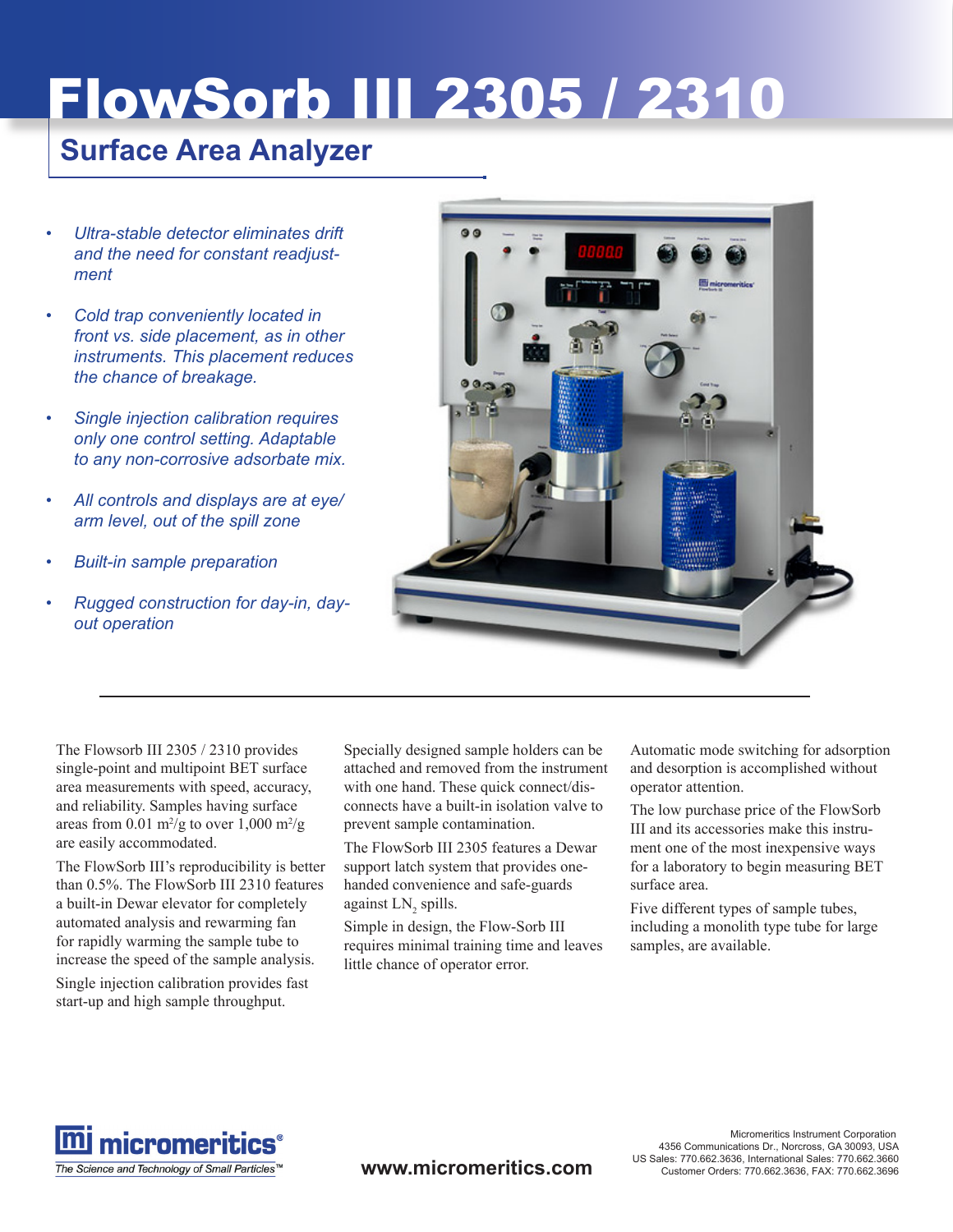# FlowSorb III 2305 / 2310

## **Surface Area Analyzer**

- *Ultra-stable detector eliminates drift and the need for constant readjustment •*
- *Cold trap conveniently located in front vs. side placement, as in other instruments. This placement reduces the chance of breakage. •*
- *Single injection calibration requires only one control setting. Adaptable to any non-corrosive adsorbate mix. •*
- *All controls and displays are at eye/ arm level, out of the spill zone •*
- *Built-in sample preparation •*
- *Rugged construction for day-in, dayout operation •*



The Flowsorb III 2305 / 2310 provides single-point and multipoint BET surface area measurements with speed, accuracy, and reliability. Samples having surface areas from  $0.01 \text{ m}^2/\text{g}$  to over  $1,000 \text{ m}^2/\text{g}$ are easily accommodated.

The FlowSorb III's reproducibility is better than 0.5%. The FlowSorb III 2310 features a built-in Dewar elevator for completely automated analysis and rewarming fan for rapidly warming the sample tube to increase the speed of the sample analysis. Single injection calibration provides fast start-up and high sample throughput.

Specially designed sample holders can be attached and removed from the instrument with one hand. These quick connect/disconnects have a built-in isolation valve to prevent sample contamination.

The FlowSorb III 2305 features a Dewar support latch system that provides onehanded convenience and safe-guards against  $LN_2$  spills.

Simple in design, the Flow-Sorb III requires minimal training time and leaves little chance of operator error.

Automatic mode switching for adsorption and desorption is accomplished without operator attention.

The low purchase price of the FlowSorb III and its accessories make this instrument one of the most inexpensive ways for a laboratory to begin measuring BET surface area.

Five different types of sample tubes, including a monolith type tube for large samples, are available.



**www.micromeritics.com**

Micromeritics Instrument Corporation 4356 Communications Dr., Norcross, GA 30093, USA US Sales: 770.662.3636, International Sales: 770.662.3660 Customer Orders: 770.662.3636, FAX: 770.662.3696